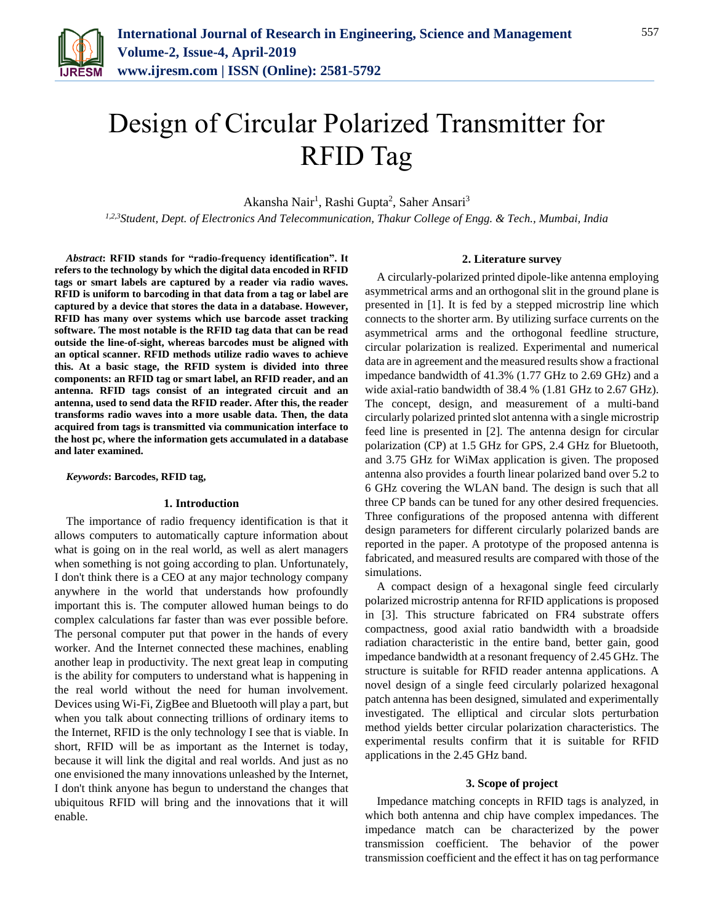

# Design of Circular Polarized Transmitter for RFID Tag

Akansha Nair<sup>1</sup>, Rashi Gupta<sup>2</sup>, Saher Ansari<sup>3</sup>

*1,2,3Student, Dept. of Electronics And Telecommunication, Thakur College of Engg. & Tech., Mumbai, India*

*Abstract***: RFID stands for "radio-frequency identification". It refers to the technology by which the digital data encoded in RFID tags or smart labels are captured by a reader via radio waves. RFID is uniform to barcoding in that data from a tag or label are captured by a device that stores the data in a database. However, RFID has many over systems which use barcode asset tracking software. The most notable is the RFID tag data that can be read outside the line-of-sight, whereas barcodes must be aligned with an optical scanner. RFID methods utilize radio waves to achieve this. At a basic stage, the RFID system is divided into three components: an RFID tag or smart label, an RFID reader, and an antenna. RFID tags consist of an integrated circuit and an antenna, used to send data the RFID reader. After this, the reader transforms radio waves into a more usable data. Then, the data acquired from tags is transmitted via communication interface to the host pc, where the information gets accumulated in a database and later examined.**

*Keywords***: Barcodes, RFID tag,**

### **1. Introduction**

The importance of radio frequency identification is that it allows computers to automatically capture information about what is going on in the real world, as well as alert managers when something is not going according to plan. Unfortunately, I don't think there is a CEO at any major technology company anywhere in the world that understands how profoundly important this is. The computer allowed human beings to do complex calculations far faster than was ever possible before. The personal computer put that power in the hands of every worker. And the Internet connected these machines, enabling another leap in productivity. The next great leap in computing is the ability for computers to understand what is happening in the real world without the need for human involvement. Devices using Wi-Fi, ZigBee and Bluetooth will play a part, but when you talk about connecting trillions of ordinary items to the Internet, RFID is the only technology I see that is viable. In short, RFID will be as important as the Internet is today, because it will link the digital and real worlds. And just as no one envisioned the many innovations unleashed by the Internet, I don't think anyone has begun to understand the changes that ubiquitous RFID will bring and the innovations that it will enable.

### **2. Literature survey**

A circularly-polarized printed dipole-like antenna employing asymmetrical arms and an orthogonal slit in the ground plane is presented in [1]. It is fed by a stepped microstrip line which connects to the shorter arm. By utilizing surface currents on the asymmetrical arms and the orthogonal feedline structure, circular polarization is realized. Experimental and numerical data are in agreement and the measured results show a fractional impedance bandwidth of 41.3% (1.77 GHz to 2.69 GHz) and a wide axial-ratio bandwidth of 38.4 % (1.81 GHz to 2.67 GHz). The concept, design, and measurement of a multi-band circularly polarized printed slot antenna with a single microstrip feed line is presented in [2]. The antenna design for circular polarization (CP) at 1.5 GHz for GPS, 2.4 GHz for Bluetooth, and 3.75 GHz for WiMax application is given. The proposed antenna also provides a fourth linear polarized band over 5.2 to 6 GHz covering the WLAN band. The design is such that all three CP bands can be tuned for any other desired frequencies. Three configurations of the proposed antenna with different design parameters for different circularly polarized bands are reported in the paper. A prototype of the proposed antenna is fabricated, and measured results are compared with those of the simulations.

A compact design of a hexagonal single feed circularly polarized microstrip antenna for RFID applications is proposed in [3]. This structure fabricated on FR4 substrate offers compactness, good axial ratio bandwidth with a broadside radiation characteristic in the entire band, better gain, good impedance bandwidth at a resonant frequency of 2.45 GHz. The structure is suitable for RFID reader antenna applications. A novel design of a single feed circularly polarized hexagonal patch antenna has been designed, simulated and experimentally investigated. The elliptical and circular slots perturbation method yields better circular polarization characteristics. The experimental results confirm that it is suitable for RFID applications in the 2.45 GHz band.

#### **3. Scope of project**

Impedance matching concepts in RFID tags is analyzed, in which both antenna and chip have complex impedances. The impedance match can be characterized by the power transmission coefficient. The behavior of the power transmission coefficient and the effect it has on tag performance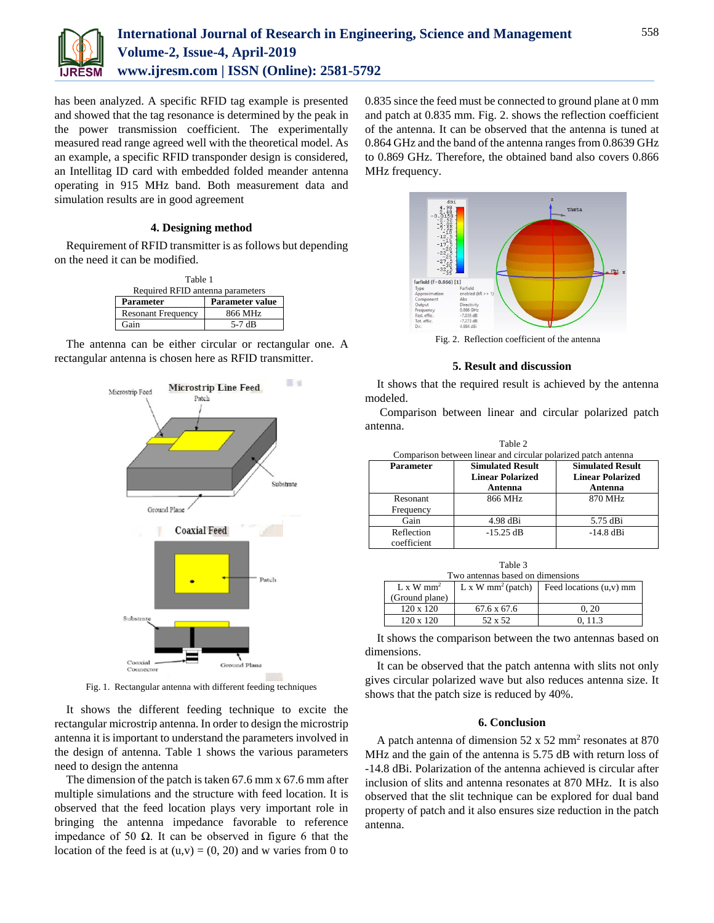

has been analyzed. A specific RFID tag example is presented and showed that the tag resonance is determined by the peak in the power transmission coefficient. The experimentally measured read range agreed well with the theoretical model. As an example, a specific RFID transponder design is considered, an Intellitag ID card with embedded folded meander antenna operating in 915 MHz band. Both measurement data and simulation results are in good agreement

# **4. Designing method**

Requirement of RFID transmitter is as follows but depending on the need it can be modified.

| Table 1                          |                        |  |
|----------------------------------|------------------------|--|
| Required RFID antenna parameters |                        |  |
| Parameter                        | <b>Parameter value</b> |  |
| <b>Resonant Frequency</b>        | 866 MHz                |  |
| Gain                             | 5-7 $dB$               |  |

The antenna can be either circular or rectangular one. A rectangular antenna is chosen here as RFID transmitter.



Fig. 1. Rectangular antenna with different feeding techniques

It shows the different feeding technique to excite the rectangular microstrip antenna. In order to design the microstrip antenna it is important to understand the parameters involved in the design of antenna. Table 1 shows the various parameters need to design the antenna

The dimension of the patch is taken 67.6 mm x 67.6 mm after multiple simulations and the structure with feed location. It is observed that the feed location plays very important role in bringing the antenna impedance favorable to reference impedance of 50  $\Omega$ . It can be observed in figure 6 that the location of the feed is at  $(u, v) = (0, 20)$  and w varies from 0 to

0.835 since the feed must be connected to ground plane at 0 mm and patch at 0.835 mm. Fig. 2. shows the reflection coefficient of the antenna. It can be observed that the antenna is tuned at 0.864 GHz and the band of the antenna ranges from 0.8639 GHz to 0.869 GHz. Therefore, the obtained band also covers 0.866 MHz frequency.



Fig. 2. Reflection coefficient of the antenna

## **5. Result and discussion**

It shows that the required result is achieved by the antenna modeled.

Comparison between linear and circular polarized patch antenna.

| Table 2<br>Comparison between linear and circular polarized patch antenna |                         |                         |  |  |
|---------------------------------------------------------------------------|-------------------------|-------------------------|--|--|
|                                                                           |                         |                         |  |  |
|                                                                           | <b>Linear Polarized</b> | <b>Linear Polarized</b> |  |  |
|                                                                           | Antenna                 | Antenna                 |  |  |
| <b>Resonant</b>                                                           | 866 MHz                 | 870 MHz                 |  |  |
| Frequency                                                                 |                         |                         |  |  |
| Gain                                                                      | $4.98$ dBi              | 5.75 dBi                |  |  |
| Reflection                                                                | $-15.25$ dB             | $-14.8$ dBi             |  |  |
| coefficient                                                               |                         |                         |  |  |

| Table 3                          |                              |                    |                                                          |
|----------------------------------|------------------------------|--------------------|----------------------------------------------------------|
| Two antennas based on dimensions |                              |                    |                                                          |
|                                  | $L \times W$ mm <sup>2</sup> |                    | L x W mm <sup>2</sup> (patch) Feed locations $(u, v)$ mm |
|                                  | (Ground plane)               |                    |                                                          |
|                                  | $120 \times 120$             | $67.6 \times 67.6$ | 0.20                                                     |
|                                  | 120 x 120                    | 52 x 52            | 0.113                                                    |

It shows the comparison between the two antennas based on dimensions.

It can be observed that the patch antenna with slits not only gives circular polarized wave but also reduces antenna size. It shows that the patch size is reduced by 40%.

## **6. Conclusion**

A patch antenna of dimension  $52 \times 52$  mm<sup>2</sup> resonates at 870 MHz and the gain of the antenna is 5.75 dB with return loss of -14.8 dBi. Polarization of the antenna achieved is circular after inclusion of slits and antenna resonates at 870 MHz. It is also observed that the slit technique can be explored for dual band property of patch and it also ensures size reduction in the patch antenna.